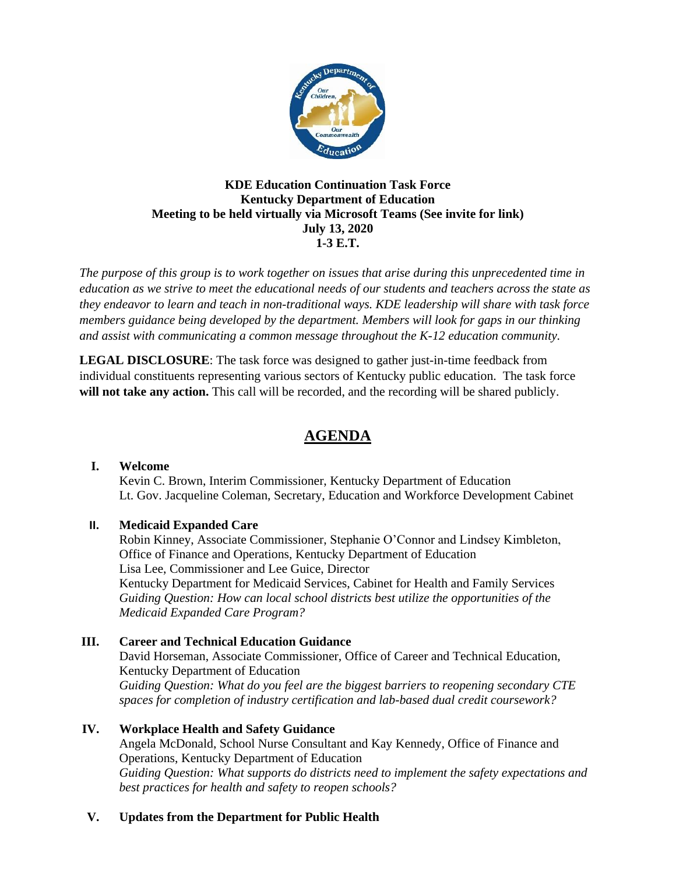

### **KDE Education Continuation Task Force Kentucky Department of Education Meeting to be held virtually via Microsoft Teams (See invite for link) July 13, 2020 1-3 E.T.**

*The purpose of this group is to work together on issues that arise during this unprecedented time in education as we strive to meet the educational needs of our students and teachers across the state as they endeavor to learn and teach in non-traditional ways. KDE leadership will share with task force members guidance being developed by the department. Members will look for gaps in our thinking and assist with communicating a common message throughout the K-12 education community.*

**LEGAL DISCLOSURE**: The task force was designed to gather just-in-time feedback from individual constituents representing various sectors of Kentucky public education. The task force **will not take any action.** This call will be recorded, and the recording will be shared publicly.

# **AGENDA**

## **I. Welcome**

Kevin C. Brown, Interim Commissioner, Kentucky Department of Education Lt. Gov. Jacqueline Coleman, Secretary, Education and Workforce Development Cabinet

## **II. Medicaid Expanded Care**

Robin Kinney, Associate Commissioner, Stephanie O'Connor and Lindsey Kimbleton, Office of Finance and Operations, Kentucky Department of Education Lisa Lee, Commissioner and Lee Guice, Director Kentucky Department for Medicaid Services, Cabinet for Health and Family Services *Guiding Question: How can local school districts best utilize the opportunities of the Medicaid Expanded Care Program?*

### **III. Career and Technical Education Guidance**

David Horseman, Associate Commissioner, Office of Career and Technical Education, Kentucky Department of Education *Guiding Question: What do you feel are the biggest barriers to reopening secondary CTE spaces for completion of industry certification and lab-based dual credit coursework?*

### **IV. Workplace Health and Safety Guidance**

Angela McDonald, School Nurse Consultant and Kay Kennedy, Office of Finance and Operations, Kentucky Department of Education *Guiding Question: What supports do districts need to implement the safety expectations and best practices for health and safety to reopen schools?*

## **V. Updates from the Department for Public Health**